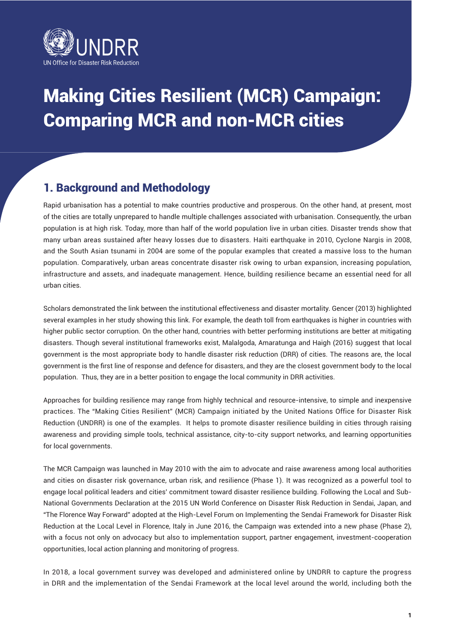

# Making Cities Resilient (MCR) Campaign: Comparing MCR and non-MCR cities

# 1. Background and Methodology

Rapid urbanisation has a potential to make countries productive and prosperous. On the other hand, at present, most of the cities are totally unprepared to handle multiple challenges associated with urbanisation. Consequently, the urban population is at high risk. Today, more than half of the world population live in urban cities. Disaster trends show that many urban areas sustained after heavy losses due to disasters. Haiti earthquake in 2010, Cyclone Nargis in 2008, and the South Asian tsunami in 2004 are some of the popular examples that created a massive loss to the human population. Comparatively, urban areas concentrate disaster risk owing to urban expansion, increasing population, infrastructure and assets, and inadequate management. Hence, building resilience became an essential need for all urban cities.

Scholars demonstrated the link between the institutional effectiveness and disaster mortality. Gencer (2013) highlighted several examples in her study showing this link. For example, the death toll from earthquakes is higher in countries with higher public sector corruption. On the other hand, countries with better performing institutions are better at mitigating disasters. Though several institutional frameworks exist, Malalgoda, Amaratunga and Haigh (2016) suggest that local government is the most appropriate body to handle disaster risk reduction (DRR) of cities. The reasons are, the local government is the first line of response and defence for disasters, and they are the closest government body to the local population. Thus, they are in a better position to engage the local community in DRR activities.

Approaches for building resilience may range from highly technical and resource-intensive, to simple and inexpensive practices. The "Making Cities Resilient" (MCR) Campaign initiated by the United Nations Office for Disaster Risk Reduction (UNDRR) is one of the examples. It helps to promote disaster resilience building in cities through raising awareness and providing simple tools, technical assistance, city-to-city support networks, and learning opportunities for local governments.

The MCR Campaign was launched in May 2010 with the aim to advocate and raise awareness among local authorities and cities on disaster risk governance, urban risk, and resilience (Phase 1). It was recognized as a powerful tool to engage local political leaders and cities' commitment toward disaster resilience building. Following the Local and Sub-National Governments Declaration at the 2015 UN World Conference on Disaster Risk Reduction in Sendai, Japan, and "The Florence Way Forward" adopted at the High-Level Forum on Implementing the Sendai Framework for Disaster Risk Reduction at the Local Level in Florence, Italy in June 2016, the Campaign was extended into a new phase (Phase 2), with a focus not only on advocacy but also to implementation support, partner engagement, investment-cooperation opportunities, local action planning and monitoring of progress.

In 2018, a local government survey was developed and administered online by UNDRR to capture the progress in DRR and the implementation of the Sendai Framework at the local level around the world, including both the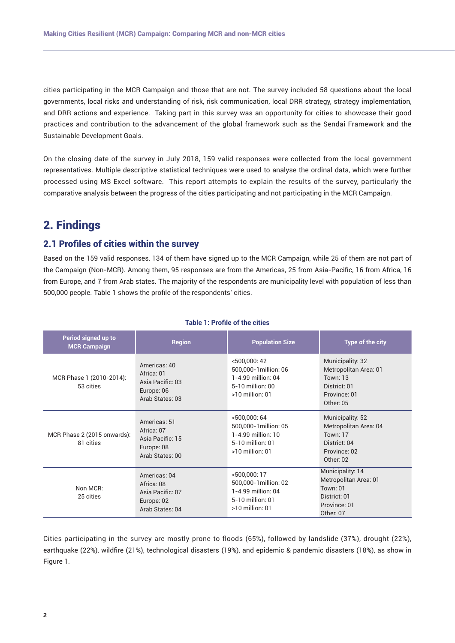cities participating in the MCR Campaign and those that are not. The survey included 58 questions about the local governments, local risks and understanding of risk, risk communication, local DRR strategy, strategy implementation, and DRR actions and experience. Taking part in this survey was an opportunity for cities to showcase their good practices and contribution to the advancement of the global framework such as the Sendai Framework and the Sustainable Development Goals.

On the closing date of the survey in July 2018, 159 valid responses were collected from the local government representatives. Multiple descriptive statistical techniques were used to analyse the ordinal data, which were further processed using MS Excel software. This report attempts to explain the results of the survey, particularly the comparative analysis between the progress of the cities participating and not participating in the MCR Campaign.

# 2. Findings

## 2.1 Profiles of cities within the survey

Based on the 159 valid responses, 134 of them have signed up to the MCR Campaign, while 25 of them are not part of the Campaign (Non-MCR). Among them, 95 responses are from the Americas, 25 from Asia-Pacific, 16 from Africa, 16 from Europe, and 7 from Arab states. The majority of the respondents are municipality level with population of less than 500,000 people. Table 1 shows the profile of the respondents' cities.

| Period signed up to<br><b>MCR Campaign</b> | <b>Region</b>                                                                   | <b>Population Size</b>                                                                                  | Type of the city                                                                                          |
|--------------------------------------------|---------------------------------------------------------------------------------|---------------------------------------------------------------------------------------------------------|-----------------------------------------------------------------------------------------------------------|
| MCR Phase 1 (2010-2014):<br>53 cities      | Americas: 40<br>Africa: 01<br>Asia Pacific: 03<br>Europe: 06<br>Arab States: 03 | $<$ 500,000: 42<br>500,000-1 million: 06<br>1-4.99 million: 04<br>5-10 million: 00<br>$>10$ million: 01 | Municipality: 32<br>Metropolitan Area: 01<br><b>Town: 13</b><br>District: 01<br>Province: 01<br>Other: 05 |
| MCR Phase 2 (2015 onwards):<br>81 cities   | Americas: 51<br>Africa: 07<br>Asia Pacific: 15<br>Europe: 08<br>Arab States: 00 | < 500,000:64<br>500,000-1 million: 05<br>1-4.99 million: 10<br>5-10 million: 01<br>$>10$ million: 01    | Municipality: 52<br>Metropolitan Area: 04<br><b>Town: 17</b><br>District: 04<br>Province: 02<br>Other: 02 |
| Non MCR:<br>25 cities                      | Americas: 04<br>Africa: 08<br>Asia Pacific: 07<br>Europe: 02<br>Arab States: 04 | <500,000:17<br>500,000-1 million: 02<br>1-4.99 million: 04<br>5-10 million: 01<br>$>10$ million: 01     | Municipality: 14<br>Metropolitan Area: 01<br><b>Town: 01</b><br>District: 01<br>Province: 01<br>Other: 07 |

## **Table 1: Profile of the cities**

Cities participating in the survey are mostly prone to floods (65%), followed by landslide (37%), drought (22%), earthquake (22%), wildfire (21%), technological disasters (19%), and epidemic & pandemic disasters (18%), as show in Figure 1.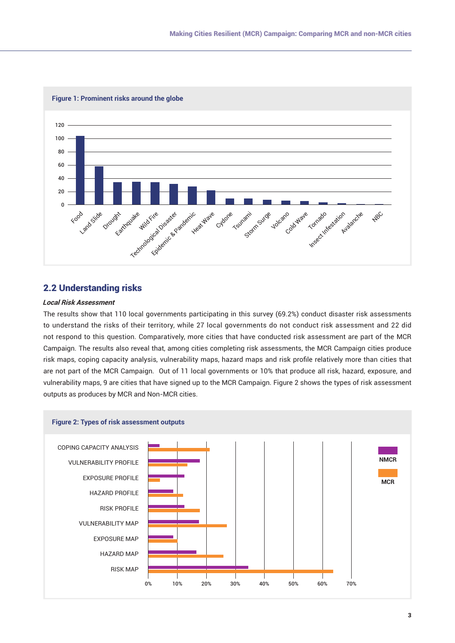

## 2.2 Understanding risks

## **Local Risk Assessment**

The results show that 110 local governments participating in this survey (69.2%) conduct disaster risk assessments to understand the risks of their territory, while 27 local governments do not conduct risk assessment and 22 did not respond to this question. Comparatively, more cities that have conducted risk assessment are part of the MCR Campaign. The results also reveal that, among cities completing risk assessments, the MCR Campaign cities produce risk maps, coping capacity analysis, vulnerability maps, hazard maps and risk profile relatively more than cities that are not part of the MCR Campaign. Out of 11 local governments or 10% that produce all risk, hazard, exposure, and vulnerability maps, 9 are cities that have signed up to the MCR Campaign. Figure 2 shows the types of risk assessment outputs as produces by MCR and Non-MCR cities.

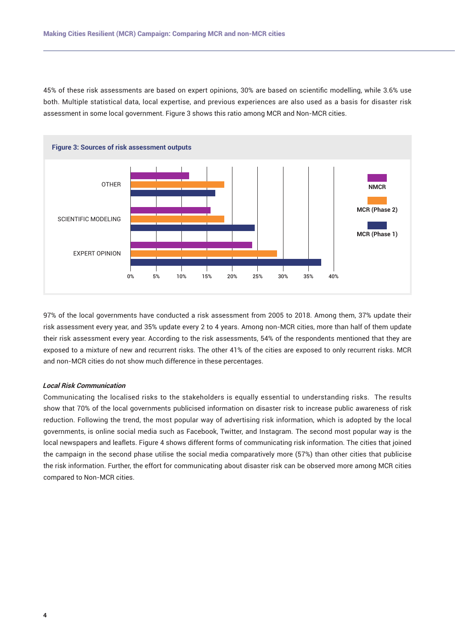45% of these risk assessments are based on expert opinions, 30% are based on scientific modelling, while 3.6% use both. Multiple statistical data, local expertise, and previous experiences are also used as a basis for disaster risk assessment in some local government. Figure 3 shows this ratio among MCR and Non-MCR cities.



97% of the local governments have conducted a risk assessment from 2005 to 2018. Among them, 37% update their risk assessment every year, and 35% update every 2 to 4 years. Among non-MCR cities, more than half of them update their risk assessment every year. According to the risk assessments, 54% of the respondents mentioned that they are exposed to a mixture of new and recurrent risks. The other 41% of the cities are exposed to only recurrent risks. MCR and non-MCR cities do not show much difference in these percentages.

#### **Local Risk Communication**

Communicating the localised risks to the stakeholders is equally essential to understanding risks. The results show that 70% of the local governments publicised information on disaster risk to increase public awareness of risk reduction. Following the trend, the most popular way of advertising risk information, which is adopted by the local governments, is online social media such as Facebook, Twitter, and Instagram. The second most popular way is the local newspapers and leaflets. Figure 4 shows different forms of communicating risk information. The cities that joined the campaign in the second phase utilise the social media comparatively more (57%) than other cities that publicise the risk information. Further, the effort for communicating about disaster risk can be observed more among MCR cities compared to Non-MCR cities.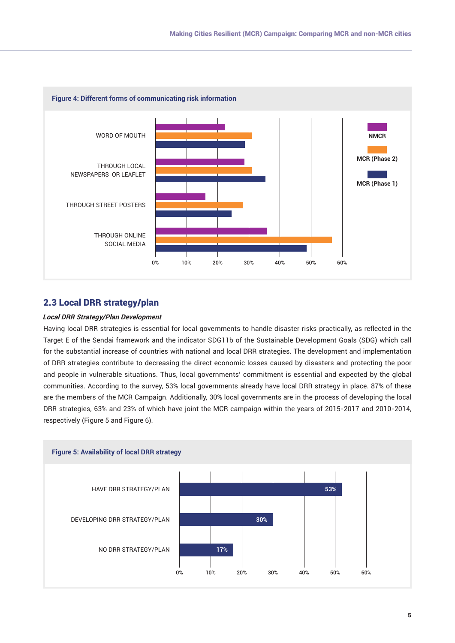

## 2.3 Local DRR strategy/plan

## **Local DRR Strategy/Plan Development**

Having local DRR strategies is essential for local governments to handle disaster risks practically, as reflected in the Target E of the Sendai framework and the indicator SDG11b of the Sustainable Development Goals (SDG) which call for the substantial increase of countries with national and local DRR strategies. The development and implementation of DRR strategies contribute to decreasing the direct economic losses caused by disasters and protecting the poor and people in vulnerable situations. Thus, local governments' commitment is essential and expected by the global communities. According to the survey, 53% local governments already have local DRR strategy in place. 87% of these are the members of the MCR Campaign. Additionally, 30% local governments are in the process of developing the local DRR strategies, 63% and 23% of which have joint the MCR campaign within the years of 2015-2017 and 2010-2014, respectively (Figure 5 and Figure 6).

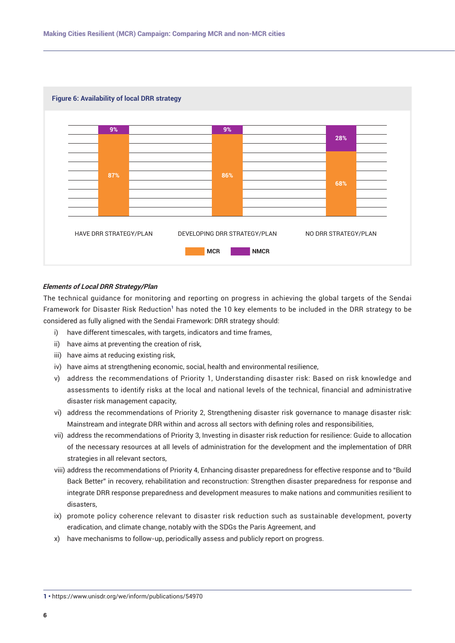

## **Elements of Local DRR Strategy/Plan**

The technical guidance for monitoring and reporting on progress in achieving the global targets of the Sendai Framework for Disaster Risk Reduction<sup>1</sup> has noted the 10 key elements to be included in the DRR strategy to be considered as fully aligned with the Sendai Framework: DRR strategy should:

- i) have different timescales, with targets, indicators and time frames,
- ii) have aims at preventing the creation of risk,
- iii) have aims at reducing existing risk,
- iv) have aims at strengthening economic, social, health and environmental resilience,
- v) address the recommendations of Priority 1, Understanding disaster risk: Based on risk knowledge and assessments to identify risks at the local and national levels of the technical, financial and administrative disaster risk management capacity,
- vi) address the recommendations of Priority 2, Strengthening disaster risk governance to manage disaster risk: Mainstream and integrate DRR within and across all sectors with defining roles and responsibilities,
- vii) address the recommendations of Priority 3, Investing in disaster risk reduction for resilience: Guide to allocation of the necessary resources at all levels of administration for the development and the implementation of DRR strategies in all relevant sectors,
- viii) address the recommendations of Priority 4, Enhancing disaster preparedness for effective response and to "Build Back Better" in recovery, rehabilitation and reconstruction: Strengthen disaster preparedness for response and integrate DRR response preparedness and development measures to make nations and communities resilient to disasters,
- ix) promote policy coherence relevant to disaster risk reduction such as sustainable development, poverty eradication, and climate change, notably with the SDGs the Paris Agreement, and
- x) have mechanisms to follow-up, periodically assess and publicly report on progress.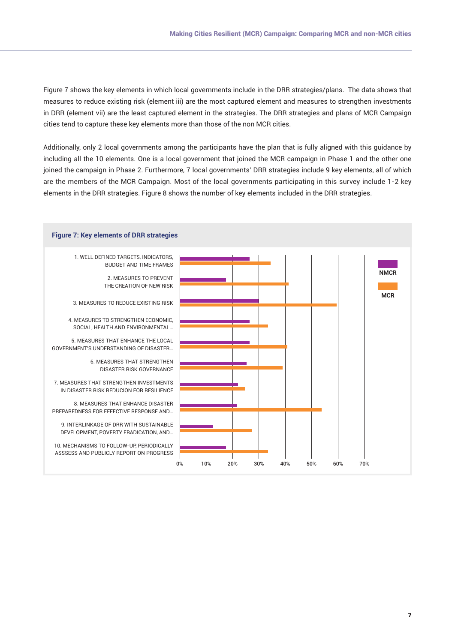Figure 7 shows the key elements in which local governments include in the DRR strategies/plans. The data shows that measures to reduce existing risk (element iii) are the most captured element and measures to strengthen investments in DRR (element vii) are the least captured element in the strategies. The DRR strategies and plans of MCR Campaign cities tend to capture these key elements more than those of the non MCR cities.

Additionally, only 2 local governments among the participants have the plan that is fully aligned with this guidance by including all the 10 elements. One is a local government that joined the MCR campaign in Phase 1 and the other one joined the campaign in Phase 2. Furthermore, 7 local governments' DRR strategies include 9 key elements, all of which are the members of the MCR Campaign. Most of the local governments participating in this survey include 1-2 key elements in the DRR strategies. Figure 8 shows the number of key elements included in the DRR strategies.

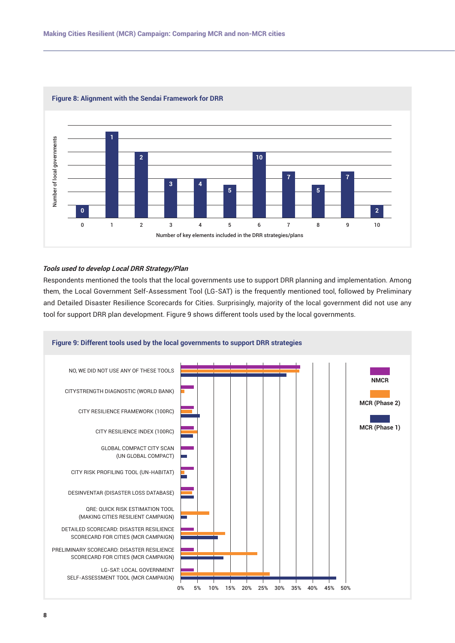

#### **Figure 8: Alignment with the Sendai Framework for DRR**

## **Tools used to develop Local DRR Strategy/Plan**

Respondents mentioned the tools that the local governments use to support DRR planning and implementation. Among them, the Local Government Self-Assessment Tool (LG-SAT) is the frequently mentioned tool, followed by Preliminary and Detailed Disaster Resilience Scorecards for Cities. Surprisingly, majority of the local government did not use any tool for support DRR plan development. Figure 9 shows different tools used by the local governments.

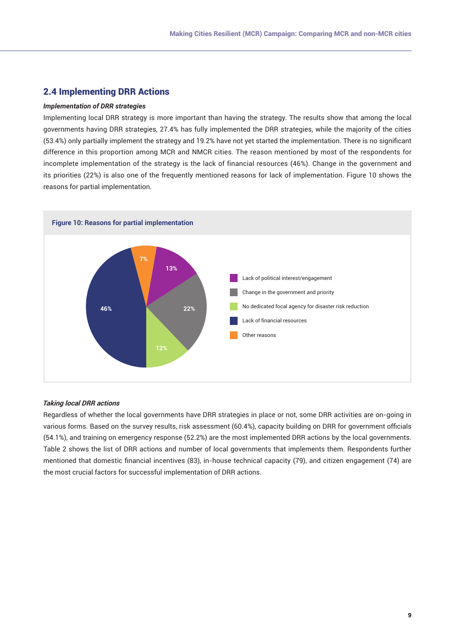## 2.4 Implementing DRR Actions

## *Implementation of DRR strategies*

Implementing local DRR strategy is more important than having the strategy. The results show that among the local governments having DRR strategies, 27.4% has fully implemented the DRR strategies, while the majority of the cities (53.4%) only partially implement the strategy and 19.2% have not yet started the implementation. There is no significant difference in this proportion among MCR and NMCR cities. The reason mentioned by most of the respondents for incomplete implementation of the strategy is the lack of financial resources (46%). Change in the government and its priorities (22%) is also one of the frequently mentioned reasons for lack of implementation. Figure 10 shows the reasons for partial implementation.



## **Taking local DRR actions**

Regardless of whether the local governments have DRR strategies in place or not, some DRR activities are on-going in various forms. Based on the survey results, risk assessment (60.4%), capacity building on DRR for government officials (54.1%), and training on emergency response (52.2%) are the most implemented DRR actions by the local governments. Table 2 shows the list of DRR actions and number of local governments that implements them. Respondents further mentioned that domestic financial incentives (83), in-house technical capacity (79), and citizen engagement (74) are the most crucial factors for successful implementation of DRR actions.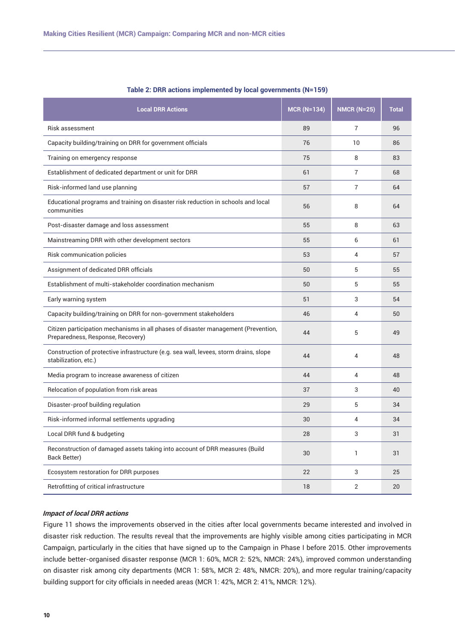| <b>Local DRR Actions</b>                                                                                                | $MCR (N=134)$ | <b>NMCR (N=25)</b> | <b>Total</b> |
|-------------------------------------------------------------------------------------------------------------------------|---------------|--------------------|--------------|
| Risk assessment                                                                                                         | 89            | $\overline{7}$     | 96           |
| Capacity building/training on DRR for government officials                                                              | 76            | 10                 | 86           |
| Training on emergency response                                                                                          | 75            | 8                  | 83           |
| Establishment of dedicated department or unit for DRR                                                                   | 61            | $\overline{7}$     | 68           |
| Risk-informed land use planning                                                                                         | 57            | $\overline{7}$     | 64           |
| Educational programs and training on disaster risk reduction in schools and local<br>communities                        | 56            | 8                  | 64           |
| Post-disaster damage and loss assessment                                                                                | 55            | 8                  | 63           |
| Mainstreaming DRR with other development sectors                                                                        | 55            | 6                  | 61           |
| Risk communication policies                                                                                             | 53            | 4                  | 57           |
| Assignment of dedicated DRR officials                                                                                   | 50            | 5                  | 55           |
| Establishment of multi-stakeholder coordination mechanism                                                               | 50            | 5                  | 55           |
| Early warning system                                                                                                    | 51            | 3                  | 54           |
| Capacity building/training on DRR for non-government stakeholders                                                       | 46            | 4                  | 50           |
| Citizen participation mechanisms in all phases of disaster management (Prevention,<br>Preparedness, Response, Recovery) | 44            | 5                  | 49           |
| Construction of protective infrastructure (e.g. sea wall, levees, storm drains, slope<br>stabilization, etc.)           | 44            | 4                  | 48           |
| Media program to increase awareness of citizen                                                                          | 44            | 4                  | 48           |
| Relocation of population from risk areas                                                                                | 37            | 3                  | 40           |
| Disaster-proof building regulation                                                                                      | 29            | 5                  | 34           |
| Risk-informed informal settlements upgrading                                                                            | 30            | $\overline{4}$     | 34           |
| Local DRR fund & budgeting                                                                                              | 28            | 3                  | 31           |
| Reconstruction of damaged assets taking into account of DRR measures (Build<br>Back Better)                             | 30            | $\mathbf{1}$       | 31           |
| Ecosystem restoration for DRR purposes                                                                                  | 22            | 3                  | 25           |
| Retrofitting of critical infrastructure                                                                                 | 18            | 2                  | 20           |

#### **Table 2: DRR actions implemented by local governments (N=159)**

## **Impact of local DRR actions**

Figure 11 shows the improvements observed in the cities after local governments became interested and involved in disaster risk reduction. The results reveal that the improvements are highly visible among cities participating in MCR Campaign, particularly in the cities that have signed up to the Campaign in Phase I before 2015. Other improvements include better-organised disaster response (MCR 1: 60%, MCR 2: 52%, NMCR: 24%), improved common understanding on disaster risk among city departments (MCR 1: 58%, MCR 2: 48%, NMCR: 20%), and more regular training/capacity building support for city officials in needed areas (MCR 1: 42%, MCR 2: 41%, NMCR: 12%).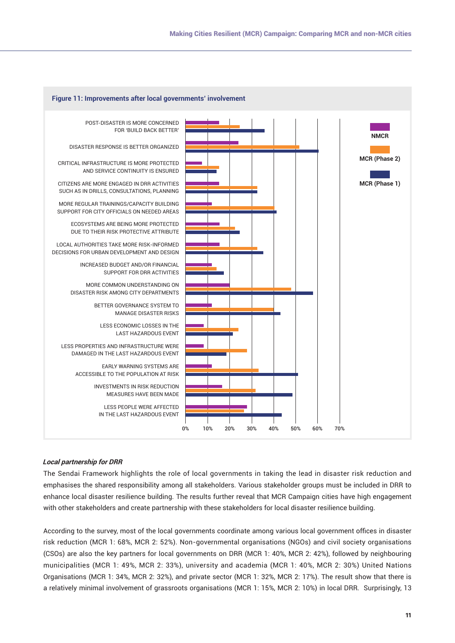

## **Local partnership for DRR**

The Sendai Framework highlights the role of local governments in taking the lead in disaster risk reduction and emphasises the shared responsibility among all stakeholders. Various stakeholder groups must be included in DRR to enhance local disaster resilience building. The results further reveal that MCR Campaign cities have high engagement with other stakeholders and create partnership with these stakeholders for local disaster resilience building.

According to the survey, most of the local governments coordinate among various local government offices in disaster risk reduction (MCR 1: 68%, MCR 2: 52%). Non-governmental organisations (NGOs) and civil society organisations (CSOs) are also the key partners for local governments on DRR (MCR 1: 40%, MCR 2: 42%), followed by neighbouring municipalities (MCR 1: 49%, MCR 2: 33%), university and academia (MCR 1: 40%, MCR 2: 30%) United Nations Organisations (MCR 1: 34%, MCR 2: 32%), and private sector (MCR 1: 32%, MCR 2: 17%). The result show that there is a relatively minimal involvement of grassroots organisations (MCR 1: 15%, MCR 2: 10%) in local DRR. Surprisingly, 13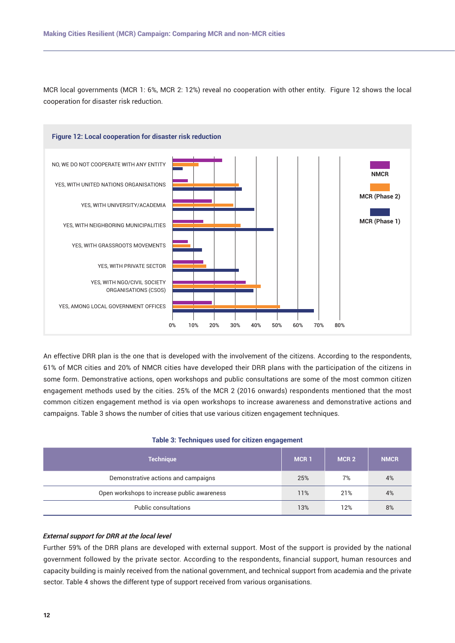MCR local governments (MCR 1: 6%, MCR 2: 12%) reveal no cooperation with other entity. Figure 12 shows the local cooperation for disaster risk reduction.



An effective DRR plan is the one that is developed with the involvement of the citizens. According to the respondents, 61% of MCR cities and 20% of NMCR cities have developed their DRR plans with the participation of the citizens in some form. Demonstrative actions, open workshops and public consultations are some of the most common citizen engagement methods used by the cities. 25% of the MCR 2 (2016 onwards) respondents mentioned that the most common citizen engagement method is via open workshops to increase awareness and demonstrative actions and campaigns. Table 3 shows the number of cities that use various citizen engagement techniques.

## **Table 3: Techniques used for citizen engagement**

| <b>Technique</b>                            | MCR <sub>1</sub> | MCR <sub>2</sub> | <b>NMCR</b> |
|---------------------------------------------|------------------|------------------|-------------|
| Demonstrative actions and campaigns         | 25%              | 7%               | 4%          |
| Open workshops to increase public awareness | 11%              | 21%              | 4%          |
| Public consultations                        | 13%              | 12%              | 8%          |

#### **External support for DRR at the local level**

Further 59% of the DRR plans are developed with external support. Most of the support is provided by the national government followed by the private sector. According to the respondents, financial support, human resources and capacity building is mainly received from the national government, and technical support from academia and the private sector. Table 4 shows the different type of support received from various organisations.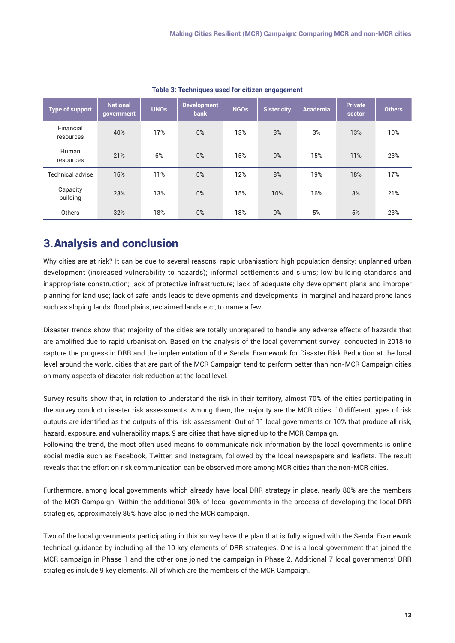| <b>Type of support</b> | <b>National</b><br>government | <b>UNOs</b> | <b>Development</b><br><b>bank</b> | <b>NGOs</b> | <b>Sister city</b> | Academia | <b>Private</b><br>sector | <b>Others</b> |
|------------------------|-------------------------------|-------------|-----------------------------------|-------------|--------------------|----------|--------------------------|---------------|
| Financial<br>resources | 40%                           | 17%         | $0\%$                             | 13%         | 3%                 | 3%       | 13%                      | 10%           |
| Human<br>resources     | 21%                           | 6%          | $0\%$                             | 15%         | 9%                 | 15%      | 11%                      | 23%           |
| Technical advise       | 16%                           | 11%         | $0\%$                             | 12%         | 8%                 | 19%      | 18%                      | 17%           |
| Capacity<br>building   | 23%                           | 13%         | $0\%$                             | 15%         | 10%                | 16%      | 3%                       | 21%           |
| Others                 | 32%                           | 18%         | $0\%$                             | 18%         | 0%                 | 5%       | 5%                       | 23%           |

**Table 3: Techniques used for citizen engagement**

# 3.Analysis and conclusion

Why cities are at risk? It can be due to several reasons: rapid urbanisation; high population density; unplanned urban development (increased vulnerability to hazards); informal settlements and slums; low building standards and inappropriate construction; lack of protective infrastructure; lack of adequate city development plans and improper planning for land use; lack of safe lands leads to developments and developments in marginal and hazard prone lands such as sloping lands, flood plains, reclaimed lands etc., to name a few.

Disaster trends show that majority of the cities are totally unprepared to handle any adverse effects of hazards that are amplified due to rapid urbanisation. Based on the analysis of the local government survey conducted in 2018 to capture the progress in DRR and the implementation of the Sendai Framework for Disaster Risk Reduction at the local level around the world, cities that are part of the MCR Campaign tend to perform better than non-MCR Campaign cities on many aspects of disaster risk reduction at the local level.

Survey results show that, in relation to understand the risk in their territory, almost 70% of the cities participating in the survey conduct disaster risk assessments. Among them, the majority are the MCR cities. 10 different types of risk outputs are identified as the outputs of this risk assessment. Out of 11 local governments or 10% that produce all risk, hazard, exposure, and vulnerability maps, 9 are cities that have signed up to the MCR Campaign.

Following the trend, the most often used means to communicate risk information by the local governments is online social media such as Facebook, Twitter, and Instagram, followed by the local newspapers and leaflets. The result reveals that the effort on risk communication can be observed more among MCR cities than the non-MCR cities.

Furthermore, among local governments which already have local DRR strategy in place, nearly 80% are the members of the MCR Campaign. Within the additional 30% of local governments in the process of developing the local DRR strategies, approximately 86% have also joined the MCR campaign.

Two of the local governments participating in this survey have the plan that is fully aligned with the Sendai Framework technical guidance by including all the 10 key elements of DRR strategies. One is a local government that joined the MCR campaign in Phase 1 and the other one joined the campaign in Phase 2. Additional 7 local governments' DRR strategies include 9 key elements. All of which are the members of the MCR Campaign.